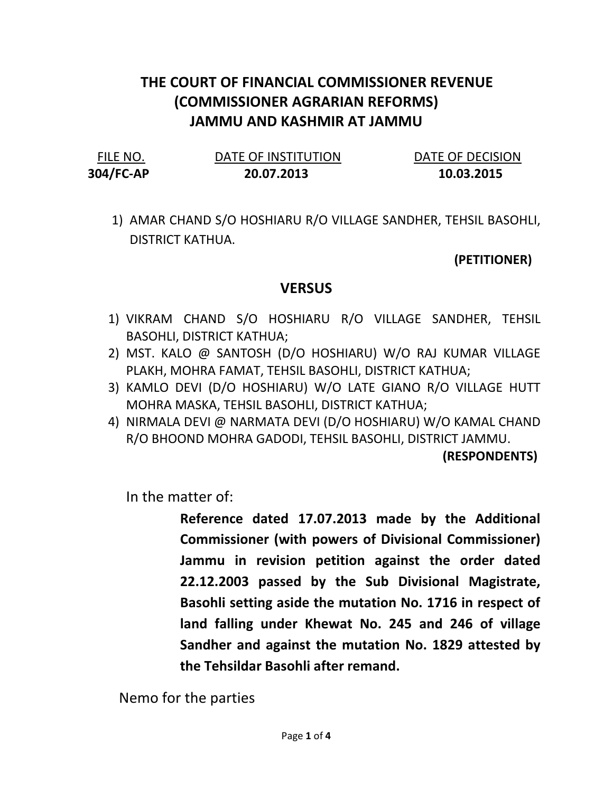## THE COURT OF FINANCIAL COMMISSIONER REVENUE (COMMISSIONER AGRARIAN REFORMS) JAMMU AND KASHMIR AT JAMMU

304/FC-AP 20.07.2013 10.03.2015

FILE NO. DATE OF INSTITUTION DATE OF DECISION

1) AMAR CHAND S/O HOSHIARU R/O VILLAGE SANDHER, TEHSIL BASOHLI, DISTRICT KATHUA.

## (PETITIONER)

## **VERSUS**

- 1) VIKRAM CHAND S/O HOSHIARU R/O VILLAGE SANDHER, TEHSIL BASOHLI, DISTRICT KATHUA;
- 2) MST. KALO @ SANTOSH (D/O HOSHIARU) W/O RAJ KUMAR VILLAGE PLAKH, MOHRA FAMAT, TEHSIL BASOHLI, DISTRICT KATHUA;
- 3) KAMLO DEVI (D/O HOSHIARU) W/O LATE GIANO R/O VILLAGE HUTT MOHRA MASKA, TEHSIL BASOHLI, DISTRICT KATHUA;
- 4) NIRMALA DEVI @ NARMATA DEVI (D/O HOSHIARU) W/O KAMAL CHAND R/O BHOOND MOHRA GADODI, TEHSIL BASOHLI, DISTRICT JAMMU.

(RESPONDENTS)

In the matter of:

Reference dated 17.07.2013 made by the Additional Commissioner (with powers of Divisional Commissioner) Jammu in revision petition against the order dated 22.12.2003 passed by the Sub Divisional Magistrate, Basohli setting aside the mutation No. 1716 in respect of land falling under Khewat No. 245 and 246 of village Sandher and against the mutation No. 1829 attested by the Tehsildar Basohli after remand.

Nemo for the parties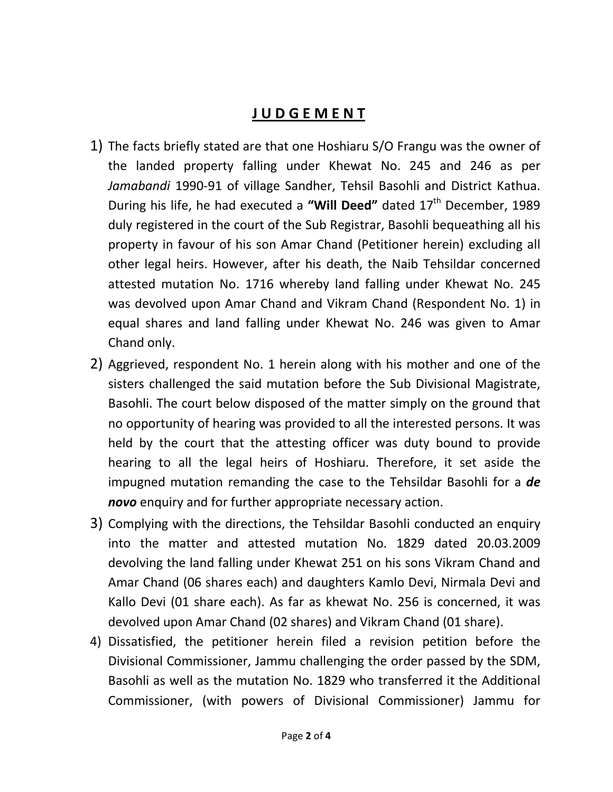## J U D G E M E N T

- 1) The facts briefly stated are that one Hoshiaru S/O Frangu was the owner of the landed property falling under Khewat No. 245 and 246 as per Jamabandi 1990-91 of village Sandher, Tehsil Basohli and District Kathua. During his life, he had executed a "Will Deed" dated  $17<sup>th</sup>$  December, 1989 duly registered in the court of the Sub Registrar, Basohli bequeathing all his property in favour of his son Amar Chand (Petitioner herein) excluding all other legal heirs. However, after his death, the Naib Tehsildar concerned attested mutation No. 1716 whereby land falling under Khewat No. 245 was devolved upon Amar Chand and Vikram Chand (Respondent No. 1) in equal shares and land falling under Khewat No. 246 was given to Amar Chand only.
- 2) Aggrieved, respondent No. 1 herein along with his mother and one of the sisters challenged the said mutation before the Sub Divisional Magistrate, Basohli. The court below disposed of the matter simply on the ground that no opportunity of hearing was provided to all the interested persons. It was held by the court that the attesting officer was duty bound to provide hearing to all the legal heirs of Hoshiaru. Therefore, it set aside the impugned mutation remanding the case to the Tehsildar Basohli for a de novo enquiry and for further appropriate necessary action.
- 3) Complying with the directions, the Tehsildar Basohli conducted an enquiry into the matter and attested mutation No. 1829 dated 20.03.2009 devolving the land falling under Khewat 251 on his sons Vikram Chand and Amar Chand (06 shares each) and daughters Kamlo Devi, Nirmala Devi and Kallo Devi (01 share each). As far as khewat No. 256 is concerned, it was devolved upon Amar Chand (02 shares) and Vikram Chand (01 share).
- 4) Dissatisfied, the petitioner herein filed a revision petition before the Divisional Commissioner, Jammu challenging the order passed by the SDM, Basohli as well as the mutation No. 1829 who transferred it the Additional Commissioner, (with powers of Divisional Commissioner) Jammu for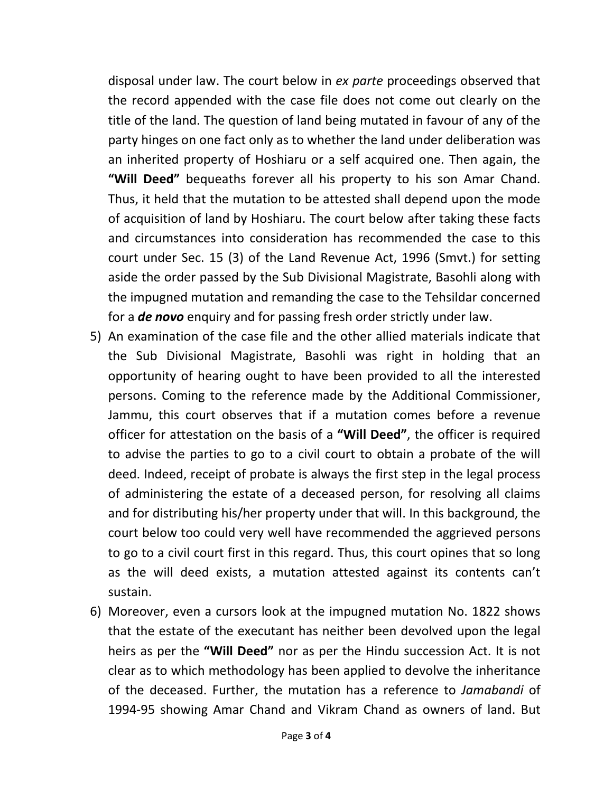disposal under law. The court below in ex parte proceedings observed that the record appended with the case file does not come out clearly on the title of the land. The question of land being mutated in favour of any of the party hinges on one fact only as to whether the land under deliberation was an inherited property of Hoshiaru or a self acquired one. Then again, the "Will Deed" bequeaths forever all his property to his son Amar Chand. Thus, it held that the mutation to be attested shall depend upon the mode of acquisition of land by Hoshiaru. The court below after taking these facts and circumstances into consideration has recommended the case to this court under Sec. 15 (3) of the Land Revenue Act, 1996 (Smvt.) for setting aside the order passed by the Sub Divisional Magistrate, Basohli along with the impugned mutation and remanding the case to the Tehsildar concerned for a **de novo** enquiry and for passing fresh order strictly under law.

- 5) An examination of the case file and the other allied materials indicate that the Sub Divisional Magistrate, Basohli was right in holding that an opportunity of hearing ought to have been provided to all the interested persons. Coming to the reference made by the Additional Commissioner, Jammu, this court observes that if a mutation comes before a revenue officer for attestation on the basis of a "Will Deed", the officer is required to advise the parties to go to a civil court to obtain a probate of the will deed. Indeed, receipt of probate is always the first step in the legal process of administering the estate of a deceased person, for resolving all claims and for distributing his/her property under that will. In this background, the court below too could very well have recommended the aggrieved persons to go to a civil court first in this regard. Thus, this court opines that so long as the will deed exists, a mutation attested against its contents can't sustain.
- 6) Moreover, even a cursors look at the impugned mutation No. 1822 shows that the estate of the executant has neither been devolved upon the legal heirs as per the "Will Deed" nor as per the Hindu succession Act. It is not clear as to which methodology has been applied to devolve the inheritance of the deceased. Further, the mutation has a reference to Jamabandi of 1994-95 showing Amar Chand and Vikram Chand as owners of land. But